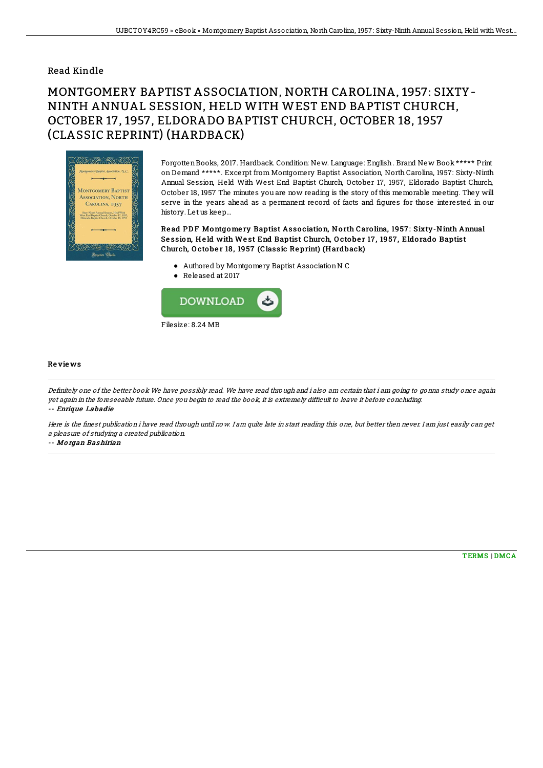## Read Kindle

## MONTGOMERY BAPTIST ASSOCIATION, NORTH CAROLINA, 1957: SIXTY-NINTH ANNUAL SESSION, HELD WITH WEST END BAPTIST CHURCH, OCTOBER 17, 1957, ELDORADO BAPTIST CHURCH, OCTOBER 18, 1957 (CLASSIC REPRINT) (HARDBACK)



ForgottenBooks, 2017. Hardback. Condition: New. Language: English. Brand New Book \*\*\*\*\* Print on Demand \*\*\*\*\*. Excerpt from Montgomery Baptist Association, North Carolina, 1957: Sixty-Ninth Annual Session, Held With West End Baptist Church, October 17, 1957, Eldorado Baptist Church, October 18, 1957 The minutes you are now reading is the story of this memorable meeting. They will serve in the years ahead as a permanent record of facts and figures for those interested in our history. Let us keep...

Read PDF Montgomery Baptist Association, North Carolina, 1957: Sixty-Ninth Annual Session, Held with West End Baptist Church, October 17, 1957, Eldorado Baptist Church, O cto be r 18 , 1957 (Classic Re print) (H ardback)

- Authored by Montgomery Baptist AssociationN C
- Released at 2017



## Re vie ws

Definitely one of the better book We have possibly read. We have read through and i also am certain that i am going to gonna study once again yet again in the foreseeable future. Once you begin to read the book, it is extremely difficult to leave it before concluding. -- Enrique Labadie

Here is the finest publication i have read through until now. I am quite late in start reading this one, but better then never. I am just easily can get <sup>a</sup> pleasure of studying <sup>a</sup> created publication.

-- Mo rgan Bas hirian